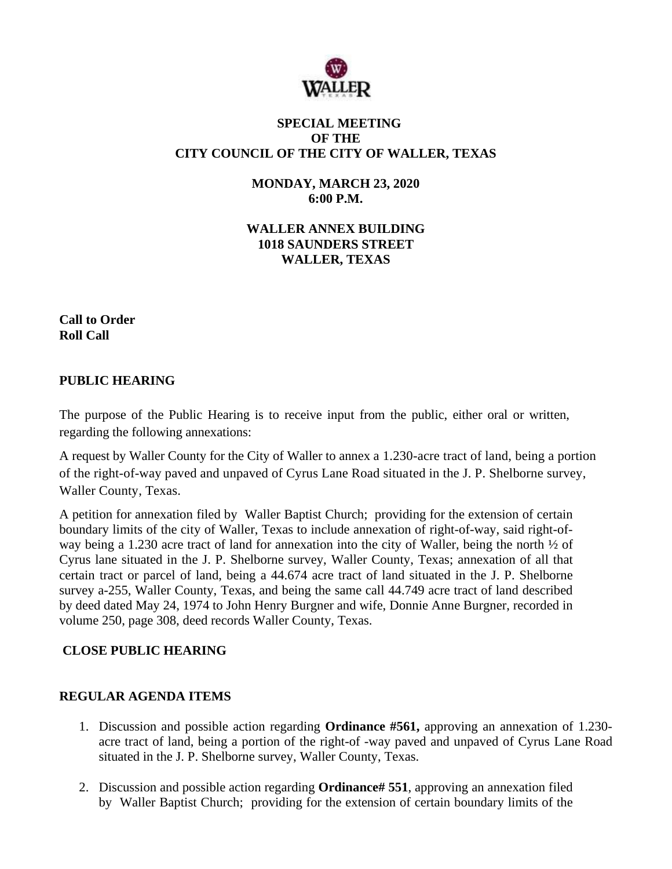

## **SPECIAL MEETING OF THE CITY COUNCIL OF THE CITY OF WALLER, TEXAS**

**MONDAY, MARCH 23, 2020 6:00 P.M.**

**WALLER ANNEX BUILDING 1018 SAUNDERS STREET WALLER, TEXAS**

**Call to Order Roll Call**

### **PUBLIC HEARING**

The purpose of the Public Hearing is to receive input from the public, either oral or written, regarding the following annexations:

A request by Waller County for the City of Waller to annex a 1.230-acre tract of land, being a portion of the right-of-way paved and unpaved of Cyrus Lane Road situated in the J. P. Shelborne survey, Waller County, Texas.

A petition for annexation filed by Waller Baptist Church; providing for the extension of certain boundary limits of the city of Waller, Texas to include annexation of right-of-way, said right-ofway being a 1.230 acre tract of land for annexation into the city of Waller, being the north ½ of Cyrus lane situated in the J. P. Shelborne survey, Waller County, Texas; annexation of all that certain tract or parcel of land, being a 44.674 acre tract of land situated in the J. P. Shelborne survey a-255, Waller County, Texas, and being the same call 44.749 acre tract of land described by deed dated May 24, 1974 to John Henry Burgner and wife, Donnie Anne Burgner, recorded in volume 250, page 308, deed records Waller County, Texas.

## **CLOSE PUBLIC HEARING**

#### **REGULAR AGENDA ITEMS**

- 1. Discussion and possible action regarding **Ordinance #561,** approving an annexation of 1.230 acre tract of land, being a portion of the right-of -way paved and unpaved of Cyrus Lane Road situated in the J. P. Shelborne survey, Waller County, Texas.
- 2. Discussion and possible action regarding **Ordinance# 551**, approving an annexation filed by Waller Baptist Church; providing for the extension of certain boundary limits of the